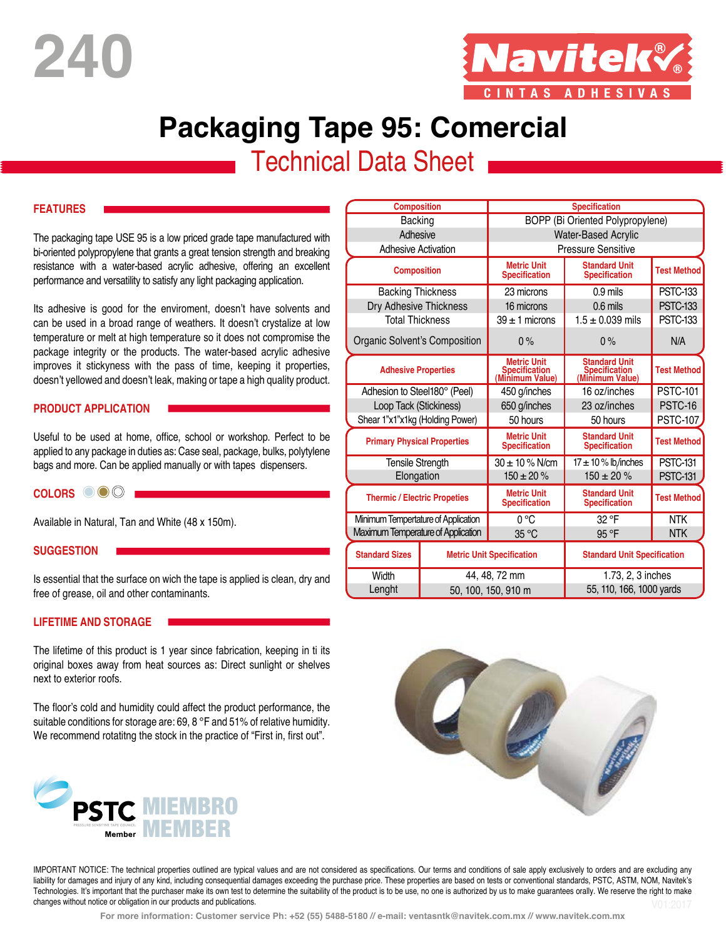**240**



# **Packaging Tape 95: Comercial**

# **Technical Data Sheet**

#### **FEATURES**

The packaging tape USE 95 is a low priced grade tape manufactured with bi-oriented polypropylene that grants a great tension strength and breaking resistance with a water-based acrylic adhesive, offering an excellent performance and versatility to satisfy any light packaging application.

Its adhesive is good for the enviroment, doesn't have solvents and can be used in a broad range of weathers. It doesn't crystalize at low temperature or melt at high temperature so it does not compromise the package integrity or the products. The water-based acrylic adhesive improves it stickyness with the pass of time, keeping it properties, doesn't yellowed and doesn't leak, making or tape a high quality product.

#### **PRODUCT APPLICATION**

Useful to be used at home, office, school or workshop. Perfect to be applied to any package in duties as: Case seal, package, bulks, polytylene bags and more. Can be applied manually or with tapes dispensers.

### **COLORS**

Available in Natural, Tan and White (48 x 150m).

#### **SUGGESTION**

Is essential that the surface on wich the tape is applied is clean, dry and free of grease, oil and other contaminants.

#### **LIFETIME AND STORAGE**

The lifetime of this product is 1 year since fabrication, keeping in ti its original boxes away from heat sources as: Direct sunlight or shelves next to exterior roofs.

The floor's cold and humidity could affect the product performance, the suitable conditions for storage are: 69, 8 °F and 51% of relative humidity. We recommend rotatitng the stock in the practice of "First in, first out".



| <b>Composition</b>                  |  | <b>Specification</b>                                   |                                                          |                    |
|-------------------------------------|--|--------------------------------------------------------|----------------------------------------------------------|--------------------|
| Backing                             |  | BOPP (Bi Oriented Polypropylene)                       |                                                          |                    |
| Adhesive                            |  | Water-Based Acrylic                                    |                                                          |                    |
| <b>Adhesive Activation</b>          |  | <b>Pressure Sensitive</b>                              |                                                          |                    |
| <b>Composition</b>                  |  | <b>Metric Unit</b><br><b>Specification</b>             | <b>Standard Unit</b><br><b>Specification</b>             | <b>Test Method</b> |
| <b>Backing Thickness</b>            |  | 23 microns                                             | $0.9$ mils                                               | <b>PSTC-133</b>    |
| Dry Adhesive Thickness              |  | 16 microns                                             | $0.6$ mils                                               | <b>PSTC-133</b>    |
| <b>Total Thickness</b>              |  | $39 \pm 1$ microns                                     | $1.5 \pm 0.039$ mils                                     | <b>PSTC-133</b>    |
| Organic Solvent's Composition       |  | 0%                                                     | 0%                                                       | N/A                |
| <b>Adhesive Properties</b>          |  | <b>Metric Unit</b><br>Specification<br>(Minimum Value) | <b>Standard Unit</b><br>Specification<br>(Minimum Value) | <b>Test Method</b> |
| Adhesion to Steel180° (Peel)        |  | 450 g/inches                                           | 16 oz/inches                                             | <b>PSTC-101</b>    |
| Loop Tack (Stickiness)              |  | 650 g/inches                                           | 23 oz/inches                                             | PSTC-16            |
| Shear 1"x1"x1kg (Holding Power)     |  | 50 hours                                               | 50 hours                                                 | <b>PSTC-107</b>    |
| <b>Primary Physical Properties</b>  |  | <b>Metric Unit</b><br><b>Specification</b>             | <b>Standard Unit</b><br><b>Specification</b>             | <b>Test Method</b> |
| Tensile Strength                    |  | $30 \pm 10$ % N/cm                                     | $17 \pm 10$ % lb/inches                                  | <b>PSTC-131</b>    |
| Elongation                          |  | $150 \pm 20 \%$                                        | $150 \pm 20 \%$                                          | <b>PSTC-131</b>    |
| <b>Thermic / Electric Propeties</b> |  | <b>Metric Unit</b><br><b>Specification</b>             | <b>Standard Unit</b><br><b>Specification</b>             | <b>Test Method</b> |
| Minimum Tempertature of Application |  | $0^{\circ}$ C                                          | 32 °F                                                    | <b>NTK</b>         |
| Maximum Temperature of Application  |  | 35 °C                                                  | 95 °F                                                    | <b>NTK</b>         |
| <b>Standard Sizes</b>               |  | <b>Metric Unit Specification</b>                       | <b>Standard Unit Specification</b>                       |                    |
| Width                               |  | 44, 48, 72 mm                                          | 1.73, 2, 3 inches                                        |                    |
| Lenght                              |  | 50, 100, 150, 910 m                                    | 55, 110, 166, 1000 yards                                 |                    |



IMPORTANT NOTICE: The technical properties outlined are typical values and are not considered as specifications. Our terms and conditions of sale apply exclusively to orders and are excluding any liability for damages and injury of any kind, including consequential damages exceeding the purchase price. These properties are based on tests or conventional standards, PSTC, ASTM, NOM, Navitek's Technologies. It's important that the purchaser make its own test to determine the suitability of the product is to be use, no one is authorized by us to make guarantees orally. We reserve the right to make changes without notice or obligation in our products and publications.